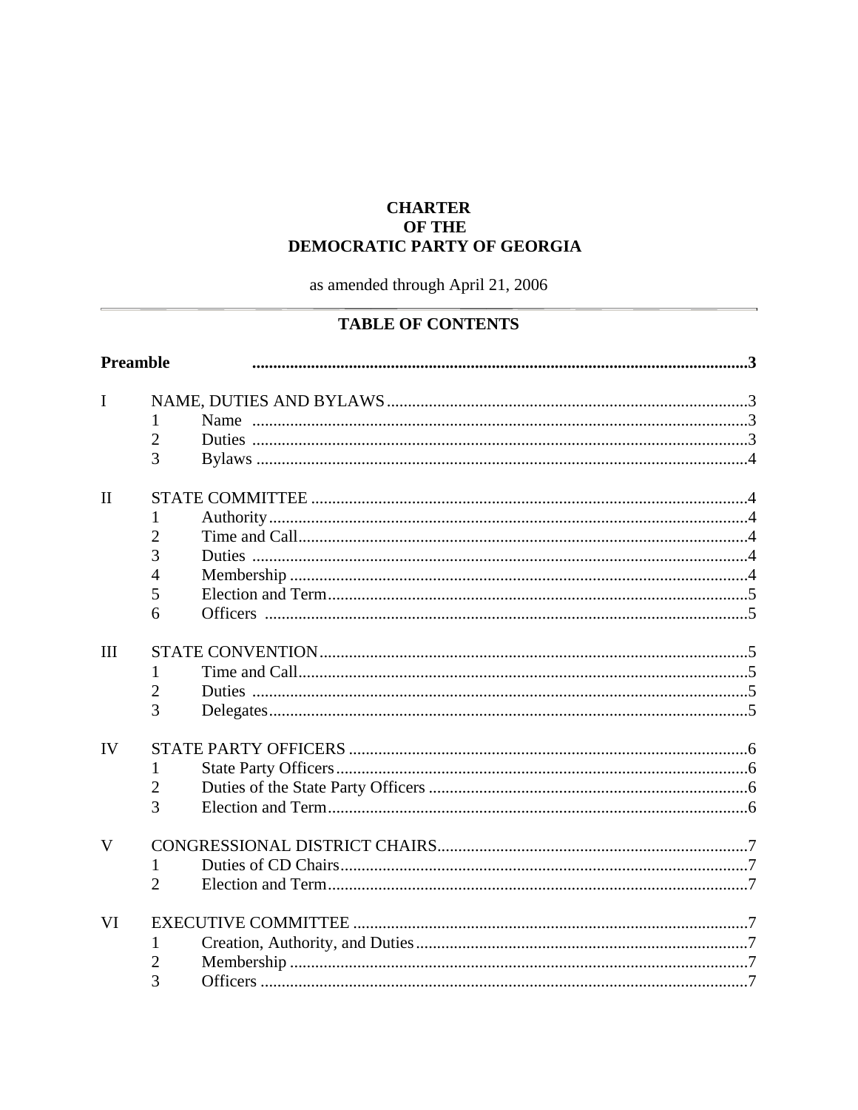## **CHARTER OF THE** DEMOCRATIC PARTY OF GEORGIA

as amended through April 21, 2006

# **TABLE OF CONTENTS**

| <b>Preamble</b> |                |  |  |
|-----------------|----------------|--|--|
| $\mathbf{I}$    |                |  |  |
|                 |                |  |  |
|                 | $\overline{2}$ |  |  |
|                 | 3              |  |  |
|                 |                |  |  |
| $\mathbf{I}$    |                |  |  |
|                 |                |  |  |
|                 | 2              |  |  |
|                 | 3              |  |  |
|                 | 4              |  |  |
|                 | 5              |  |  |
|                 | 6              |  |  |
| III             |                |  |  |
|                 |                |  |  |
|                 | $\overline{2}$ |  |  |
|                 | 3              |  |  |
| IV              |                |  |  |
|                 | $\mathbf{I}$   |  |  |
|                 | $\overline{2}$ |  |  |
|                 | 3              |  |  |
|                 |                |  |  |
| V               |                |  |  |
|                 | 1              |  |  |
|                 | $\overline{2}$ |  |  |
| VI              |                |  |  |
|                 | 1              |  |  |
|                 | 2              |  |  |
|                 | 3              |  |  |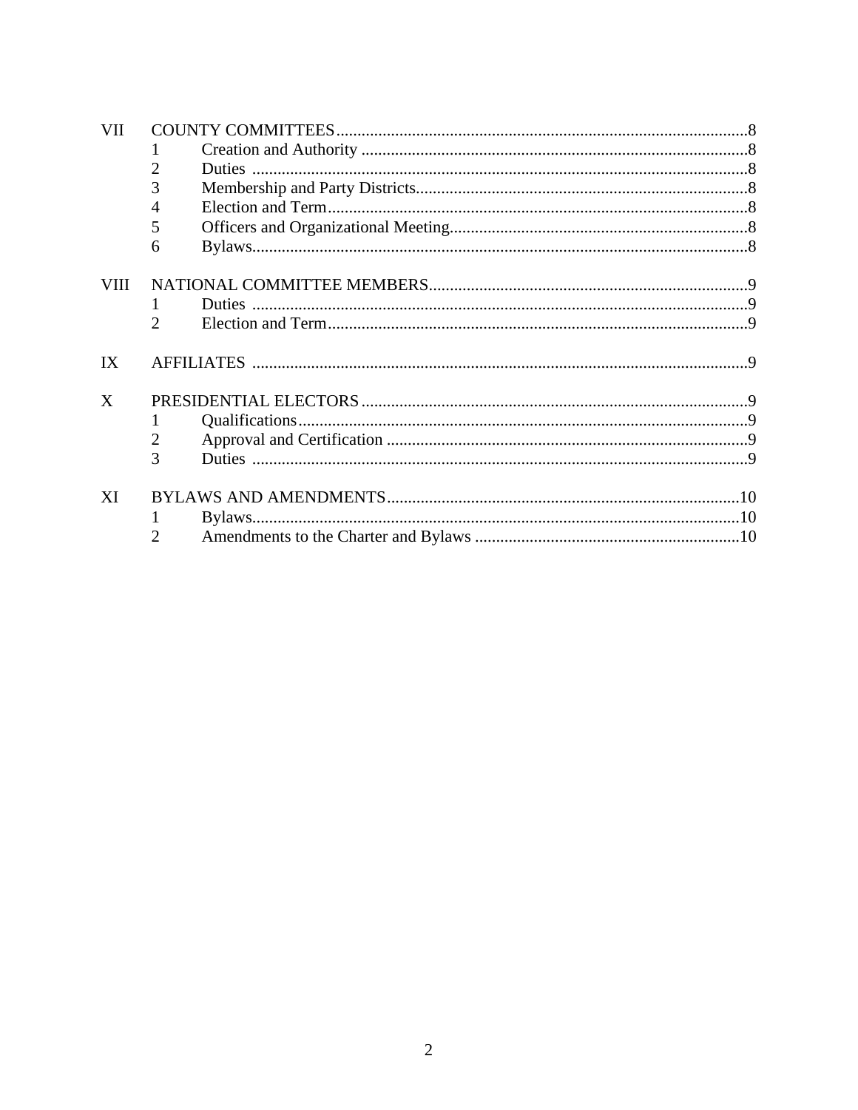| <b>VII</b>  |                             |  |  |
|-------------|-----------------------------|--|--|
|             |                             |  |  |
|             | 2                           |  |  |
|             | 3                           |  |  |
|             | 4                           |  |  |
|             | 5                           |  |  |
|             | 6                           |  |  |
| <b>VIII</b> |                             |  |  |
|             |                             |  |  |
|             | $\mathcal{D}_{\mathcal{L}}$ |  |  |
| IX          |                             |  |  |
| X           |                             |  |  |
|             | 1                           |  |  |
|             | 2                           |  |  |
|             | 3                           |  |  |
| XI          |                             |  |  |
|             |                             |  |  |
|             | $\mathfrak{2}$              |  |  |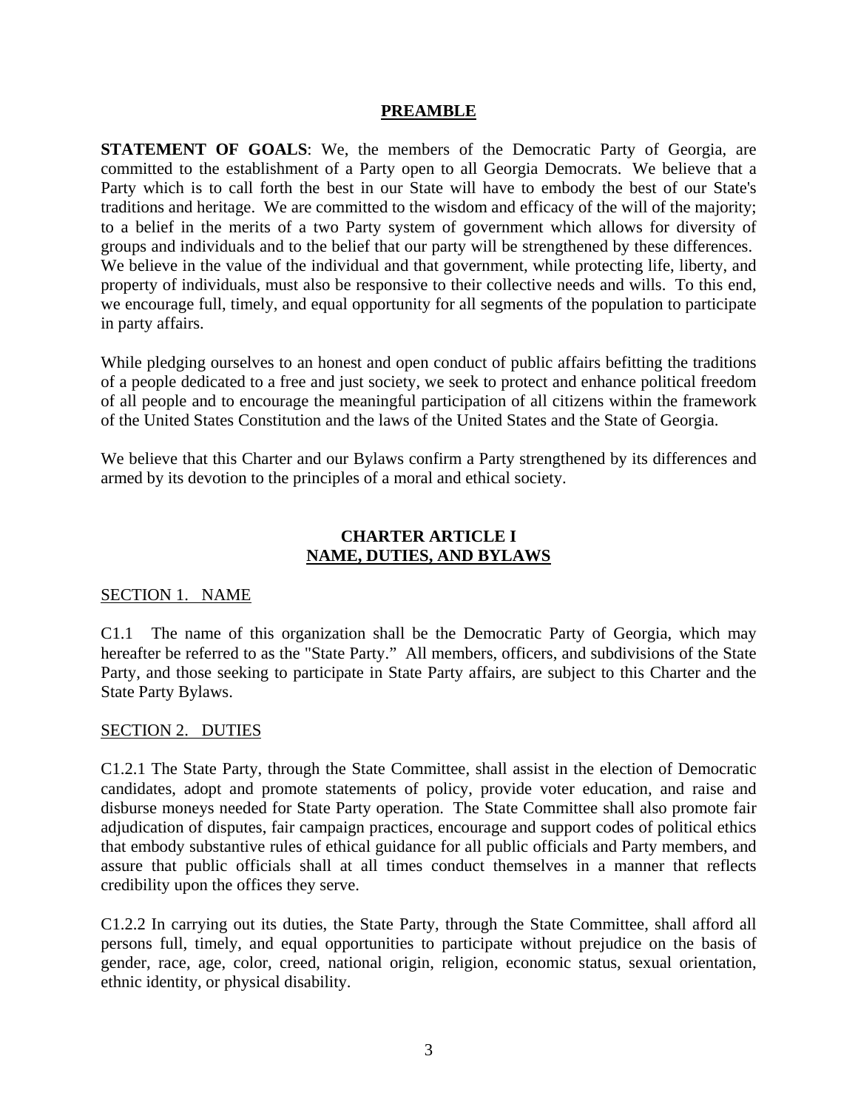#### **PREAMBLE**

**STATEMENT OF GOALS**: We, the members of the Democratic Party of Georgia, are committed to the establishment of a Party open to all Georgia Democrats. We believe that a Party which is to call forth the best in our State will have to embody the best of our State's traditions and heritage. We are committed to the wisdom and efficacy of the will of the majority; to a belief in the merits of a two Party system of government which allows for diversity of groups and individuals and to the belief that our party will be strengthened by these differences. We believe in the value of the individual and that government, while protecting life, liberty, and property of individuals, must also be responsive to their collective needs and wills. To this end, we encourage full, timely, and equal opportunity for all segments of the population to participate in party affairs.

While pledging ourselves to an honest and open conduct of public affairs befitting the traditions of a people dedicated to a free and just society, we seek to protect and enhance political freedom of all people and to encourage the meaningful participation of all citizens within the framework of the United States Constitution and the laws of the United States and the State of Georgia.

We believe that this Charter and our Bylaws confirm a Party strengthened by its differences and armed by its devotion to the principles of a moral and ethical society.

#### **CHARTER ARTICLE I NAME, DUTIES, AND BYLAWS**

#### SECTION 1. NAME

C1.1 The name of this organization shall be the Democratic Party of Georgia, which may hereafter be referred to as the "State Party." All members, officers, and subdivisions of the State Party, and those seeking to participate in State Party affairs, are subject to this Charter and the State Party Bylaws.

#### SECTION 2. DUTIES

C1.2.1 The State Party, through the State Committee, shall assist in the election of Democratic candidates, adopt and promote statements of policy, provide voter education, and raise and disburse moneys needed for State Party operation. The State Committee shall also promote fair adjudication of disputes, fair campaign practices, encourage and support codes of political ethics that embody substantive rules of ethical guidance for all public officials and Party members, and assure that public officials shall at all times conduct themselves in a manner that reflects credibility upon the offices they serve.

C1.2.2 In carrying out its duties, the State Party, through the State Committee, shall afford all persons full, timely, and equal opportunities to participate without prejudice on the basis of gender, race, age, color, creed, national origin, religion, economic status, sexual orientation, ethnic identity, or physical disability.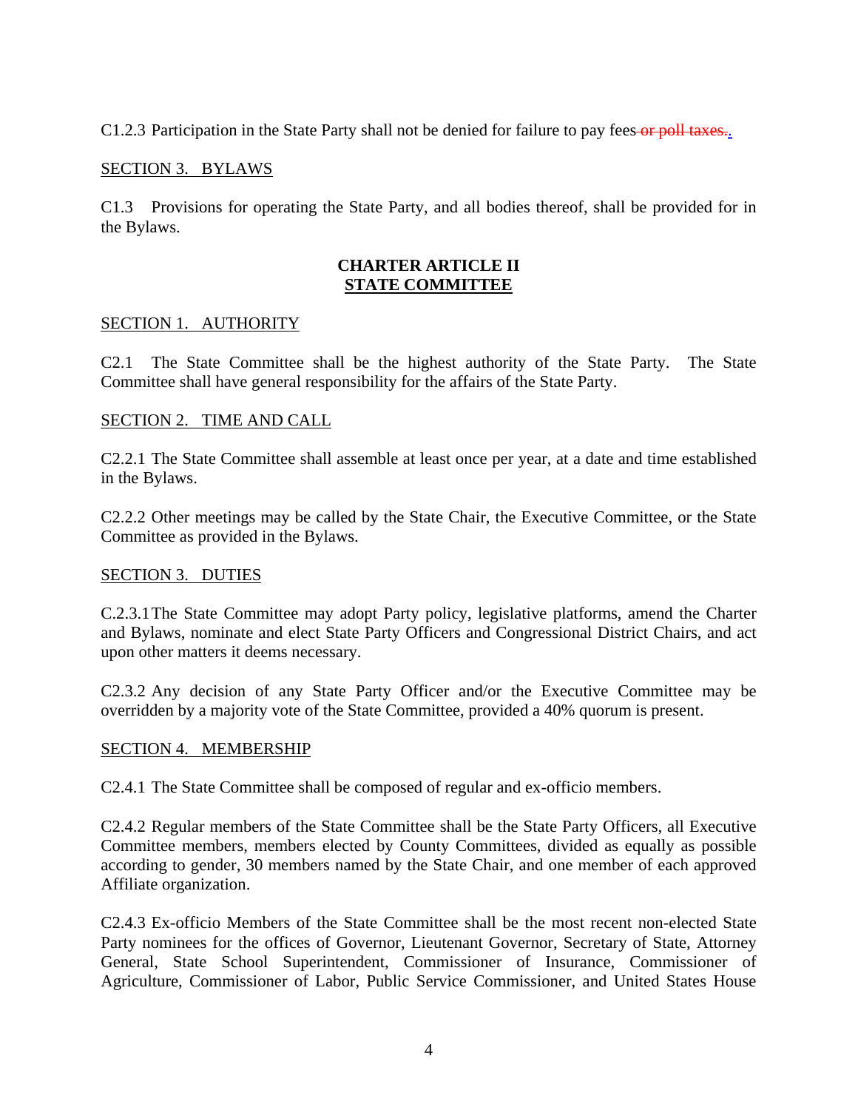C1.2.3 Participation in the State Party shall not be denied for failure to pay fees or poll taxes...

### SECTION 3. BYLAWS

C1.3 Provisions for operating the State Party, and all bodies thereof, shall be provided for in the Bylaws.

#### **CHARTER ARTICLE II STATE COMMITTEE**

#### SECTION 1. AUTHORITY

C2.1 The State Committee shall be the highest authority of the State Party. The State Committee shall have general responsibility for the affairs of the State Party.

#### SECTION 2. TIME AND CALL

C2.2.1 The State Committee shall assemble at least once per year, at a date and time established in the Bylaws.

C2.2.2 Other meetings may be called by the State Chair, the Executive Committee, or the State Committee as provided in the Bylaws.

#### SECTION 3. DUTIES

C.2.3.1 The State Committee may adopt Party policy, legislative platforms, amend the Charter and Bylaws, nominate and elect State Party Officers and Congressional District Chairs, and act upon other matters it deems necessary.

C2.3.2 Any decision of any State Party Officer and/or the Executive Committee may be overridden by a majority vote of the State Committee, provided a 40% quorum is present.

#### SECTION 4. MEMBERSHIP

C2.4.1 The State Committee shall be composed of regular and ex-officio members.

C2.4.2 Regular members of the State Committee shall be the State Party Officers, all Executive Committee members, members elected by County Committees, divided as equally as possible according to gender, 30 members named by the State Chair, and one member of each approved Affiliate organization.

C2.4.3 Ex-officio Members of the State Committee shall be the most recent non-elected State Party nominees for the offices of Governor, Lieutenant Governor, Secretary of State, Attorney General, State School Superintendent, Commissioner of Insurance, Commissioner of Agriculture, Commissioner of Labor, Public Service Commissioner, and United States House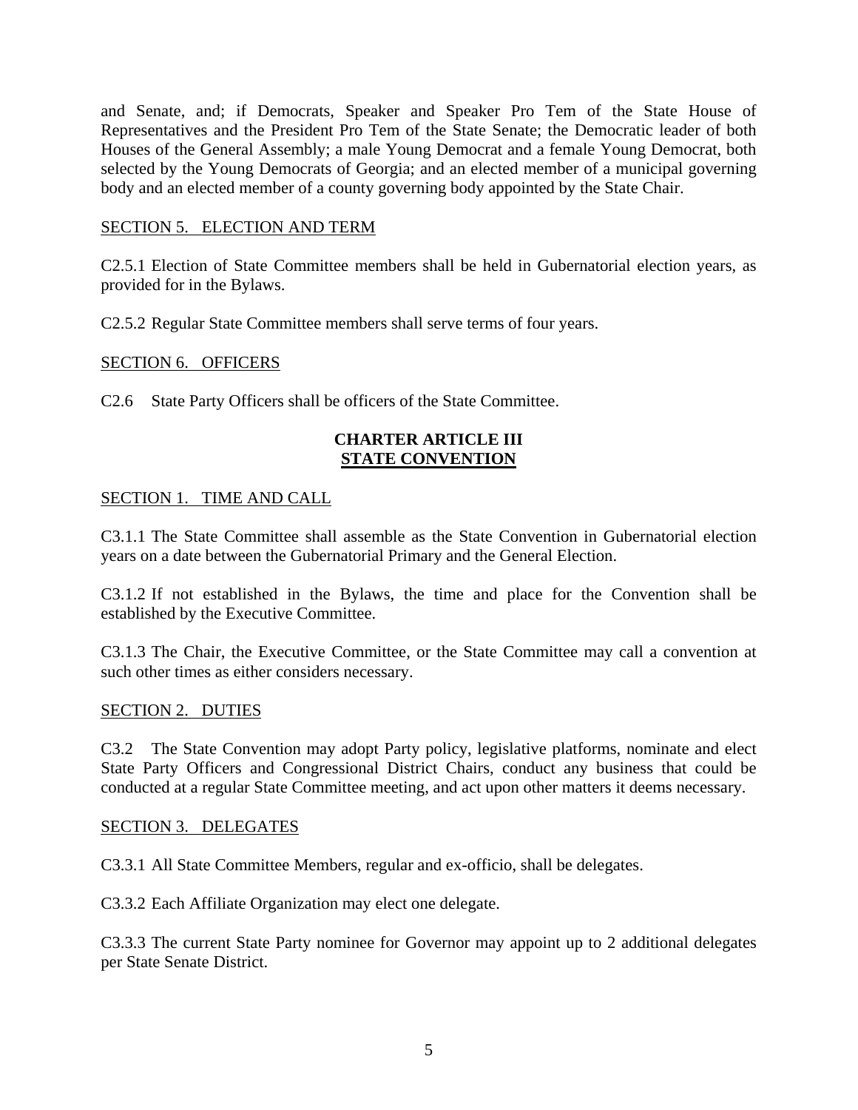and Senate, and; if Democrats, Speaker and Speaker Pro Tem of the State House of Representatives and the President Pro Tem of the State Senate; the Democratic leader of both Houses of the General Assembly; a male Young Democrat and a female Young Democrat, both selected by the Young Democrats of Georgia; and an elected member of a municipal governing body and an elected member of a county governing body appointed by the State Chair.

#### SECTION 5. ELECTION AND TERM

C2.5.1 Election of State Committee members shall be held in Gubernatorial election years, as provided for in the Bylaws.

C2.5.2 Regular State Committee members shall serve terms of four years.

#### SECTION 6. OFFICERS

C2.6 State Party Officers shall be officers of the State Committee.

#### **CHARTER ARTICLE III STATE CONVENTION**

#### SECTION 1. TIME AND CALL

C3.1.1 The State Committee shall assemble as the State Convention in Gubernatorial election years on a date between the Gubernatorial Primary and the General Election.

C3.1.2 If not established in the Bylaws, the time and place for the Convention shall be established by the Executive Committee.

C3.1.3 The Chair, the Executive Committee, or the State Committee may call a convention at such other times as either considers necessary.

#### SECTION 2. DUTIES

C3.2 The State Convention may adopt Party policy, legislative platforms, nominate and elect State Party Officers and Congressional District Chairs, conduct any business that could be conducted at a regular State Committee meeting, and act upon other matters it deems necessary.

#### SECTION 3. DELEGATES

C3.3.1 All State Committee Members, regular and ex-officio, shall be delegates.

C3.3.2 Each Affiliate Organization may elect one delegate.

C3.3.3 The current State Party nominee for Governor may appoint up to 2 additional delegates per State Senate District.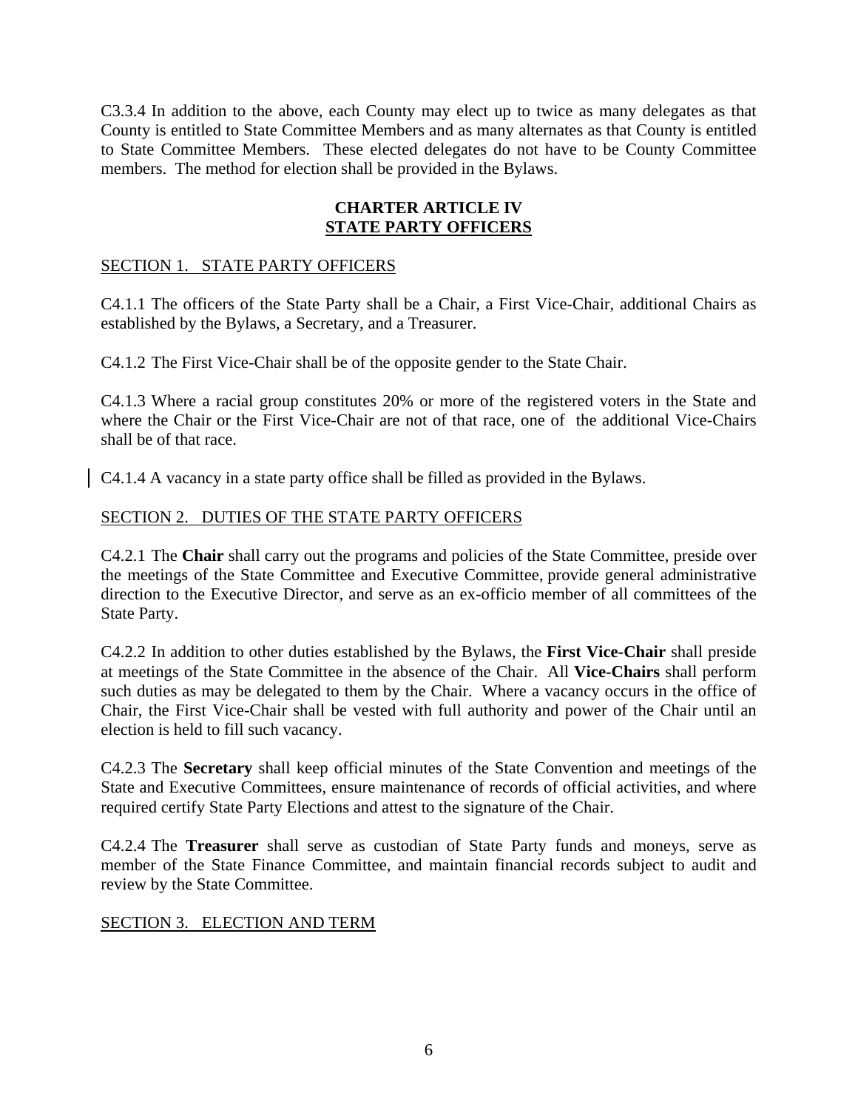C3.3.4 In addition to the above, each County may elect up to twice as many delegates as that County is entitled to State Committee Members and as many alternates as that County is entitled to State Committee Members. These elected delegates do not have to be County Committee members. The method for election shall be provided in the Bylaws.

### **CHARTER ARTICLE IV STATE PARTY OFFICERS**

## SECTION 1. STATE PARTY OFFICERS

C4.1.1 The officers of the State Party shall be a Chair, a First Vice-Chair, additional Chairs as established by the Bylaws, a Secretary, and a Treasurer.

C4.1.2 The First Vice-Chair shall be of the opposite gender to the State Chair.

C4.1.3 Where a racial group constitutes 20% or more of the registered voters in the State and where the Chair or the First Vice-Chair are not of that race, one of the additional Vice-Chairs shall be of that race.

C4.1.4 A vacancy in a state party office shall be filled as provided in the Bylaws.

### SECTION 2. DUTIES OF THE STATE PARTY OFFICERS

C4.2.1 The **Chair** shall carry out the programs and policies of the State Committee, preside over the meetings of the State Committee and Executive Committee, provide general administrative direction to the Executive Director, and serve as an ex-officio member of all committees of the State Party.

C4.2.2 In addition to other duties established by the Bylaws, the **First Vice-Chair** shall preside at meetings of the State Committee in the absence of the Chair. All **Vice-Chairs** shall perform such duties as may be delegated to them by the Chair. Where a vacancy occurs in the office of Chair, the First Vice-Chair shall be vested with full authority and power of the Chair until an election is held to fill such vacancy.

C4.2.3 The **Secretary** shall keep official minutes of the State Convention and meetings of the State and Executive Committees, ensure maintenance of records of official activities, and where required certify State Party Elections and attest to the signature of the Chair.

C4.2.4 The **Treasurer** shall serve as custodian of State Party funds and moneys, serve as member of the State Finance Committee, and maintain financial records subject to audit and review by the State Committee.

### SECTION 3. ELECTION AND TERM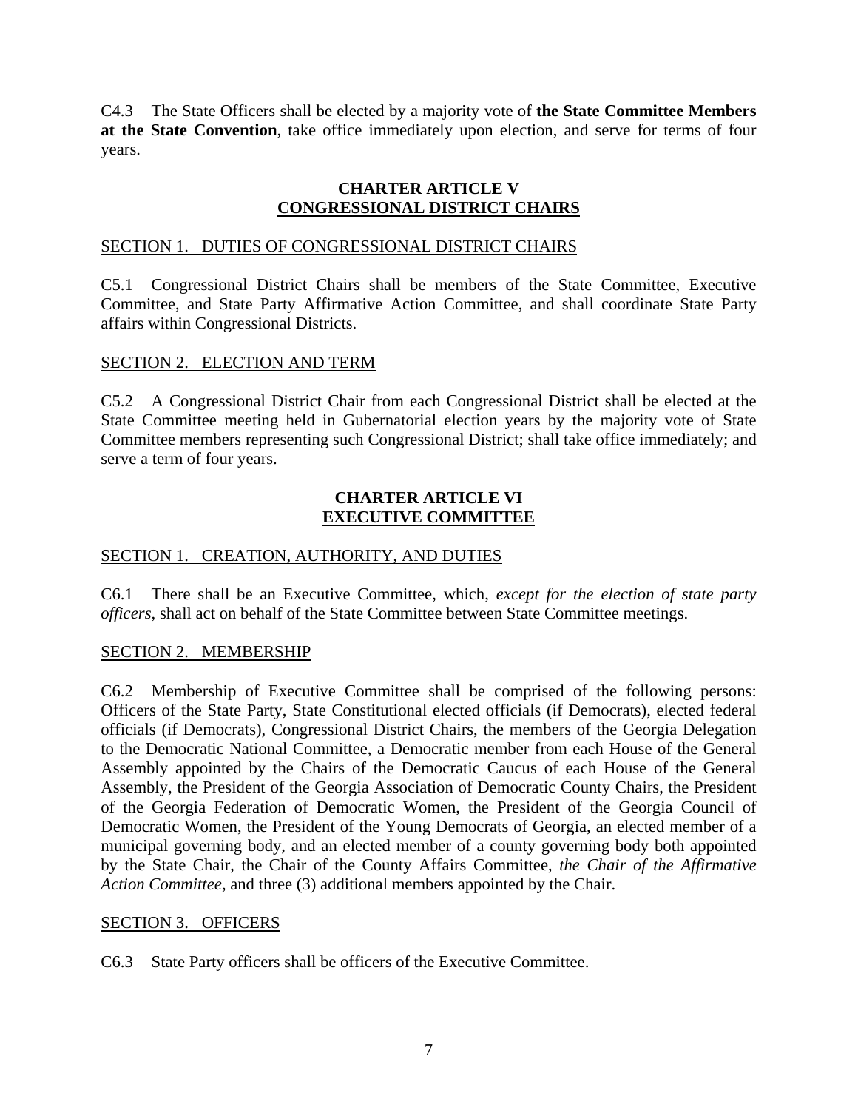C4.3 The State Officers shall be elected by a majority vote of **the State Committee Members at the State Convention**, take office immediately upon election, and serve for terms of four years.

## **CHARTER ARTICLE V CONGRESSIONAL DISTRICT CHAIRS**

### SECTION 1. DUTIES OF CONGRESSIONAL DISTRICT CHAIRS

C5.1 Congressional District Chairs shall be members of the State Committee, Executive Committee, and State Party Affirmative Action Committee, and shall coordinate State Party affairs within Congressional Districts.

### SECTION 2. ELECTION AND TERM

C5.2 A Congressional District Chair from each Congressional District shall be elected at the State Committee meeting held in Gubernatorial election years by the majority vote of State Committee members representing such Congressional District; shall take office immediately; and serve a term of four years.

### **CHARTER ARTICLE VI EXECUTIVE COMMITTEE**

## SECTION 1. CREATION, AUTHORITY, AND DUTIES

C6.1 There shall be an Executive Committee, which, *except for the election of state party officers,* shall act on behalf of the State Committee between State Committee meetings.

#### SECTION 2. MEMBERSHIP

C6.2 Membership of Executive Committee shall be comprised of the following persons: Officers of the State Party, State Constitutional elected officials (if Democrats), elected federal officials (if Democrats), Congressional District Chairs, the members of the Georgia Delegation to the Democratic National Committee, a Democratic member from each House of the General Assembly appointed by the Chairs of the Democratic Caucus of each House of the General Assembly, the President of the Georgia Association of Democratic County Chairs, the President of the Georgia Federation of Democratic Women, the President of the Georgia Council of Democratic Women, the President of the Young Democrats of Georgia, an elected member of a municipal governing body, and an elected member of a county governing body both appointed by the State Chair, the Chair of the County Affairs Committee, *the Chair of the Affirmative Action Committee,* and three (3) additional members appointed by the Chair.

#### SECTION 3. OFFICERS

C6.3 State Party officers shall be officers of the Executive Committee.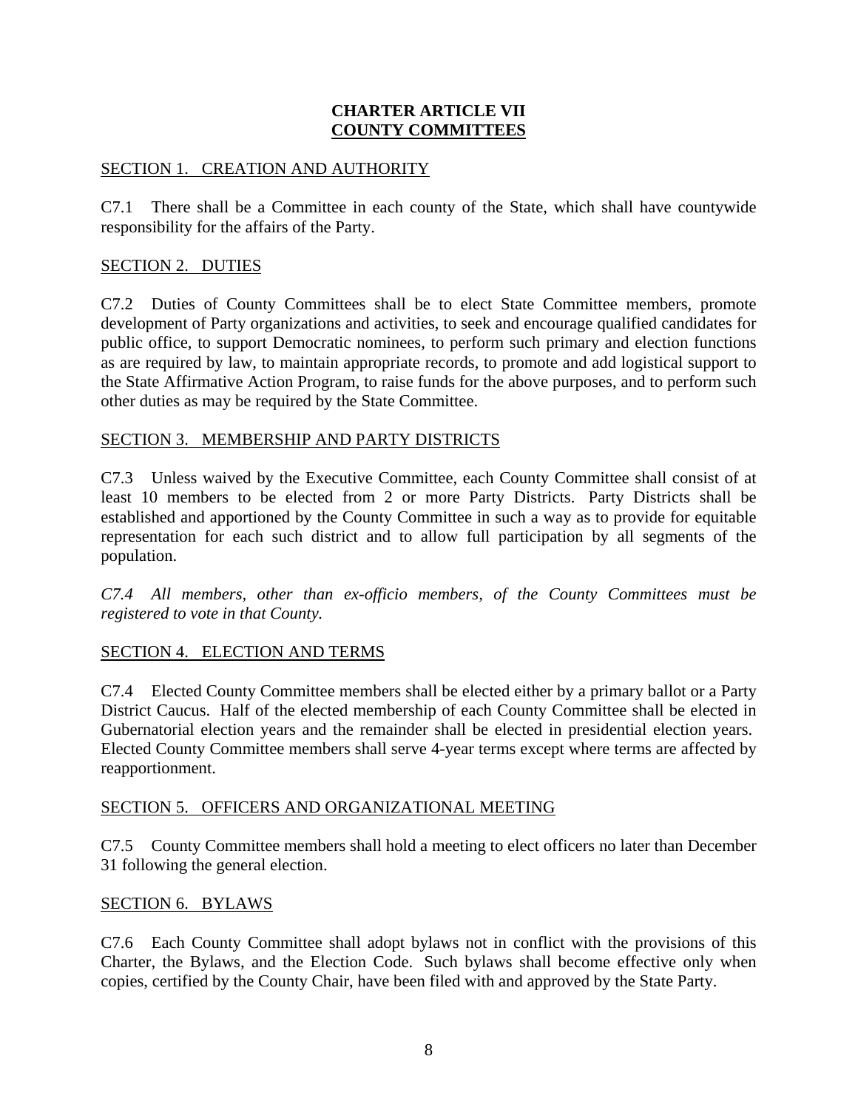## **CHARTER ARTICLE VII COUNTY COMMITTEES**

## SECTION 1. CREATION AND AUTHORITY

C7.1 There shall be a Committee in each county of the State, which shall have countywide responsibility for the affairs of the Party.

## SECTION 2. DUTIES

C7.2 Duties of County Committees shall be to elect State Committee members, promote development of Party organizations and activities, to seek and encourage qualified candidates for public office, to support Democratic nominees, to perform such primary and election functions as are required by law, to maintain appropriate records, to promote and add logistical support to the State Affirmative Action Program, to raise funds for the above purposes, and to perform such other duties as may be required by the State Committee.

### SECTION 3. MEMBERSHIP AND PARTY DISTRICTS

C7.3 Unless waived by the Executive Committee, each County Committee shall consist of at least 10 members to be elected from 2 or more Party Districts. Party Districts shall be established and apportioned by the County Committee in such a way as to provide for equitable representation for each such district and to allow full participation by all segments of the population.

*C7.4 All members, other than ex-officio members, of the County Committees must be registered to vote in that County.* 

#### SECTION 4. ELECTION AND TERMS

C7.4 Elected County Committee members shall be elected either by a primary ballot or a Party District Caucus. Half of the elected membership of each County Committee shall be elected in Gubernatorial election years and the remainder shall be elected in presidential election years. Elected County Committee members shall serve 4-year terms except where terms are affected by reapportionment.

#### SECTION 5. OFFICERS AND ORGANIZATIONAL MEETING

C7.5 County Committee members shall hold a meeting to elect officers no later than December 31 following the general election.

#### SECTION 6. BYLAWS

C7.6 Each County Committee shall adopt bylaws not in conflict with the provisions of this Charter, the Bylaws, and the Election Code. Such bylaws shall become effective only when copies, certified by the County Chair, have been filed with and approved by the State Party.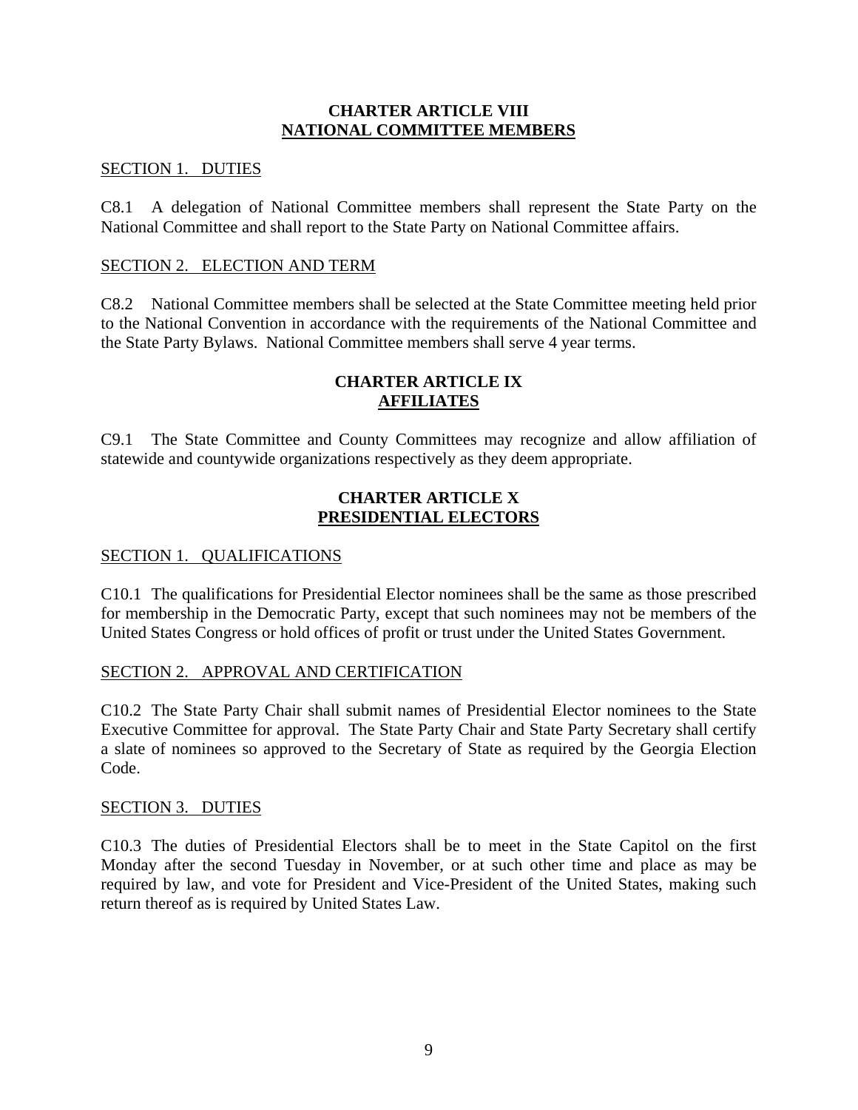### **CHARTER ARTICLE VIII NATIONAL COMMITTEE MEMBERS**

### SECTION 1. DUTIES

C8.1 A delegation of National Committee members shall represent the State Party on the National Committee and shall report to the State Party on National Committee affairs.

### SECTION 2. ELECTION AND TERM

C8.2 National Committee members shall be selected at the State Committee meeting held prior to the National Convention in accordance with the requirements of the National Committee and the State Party Bylaws. National Committee members shall serve 4 year terms.

## **CHARTER ARTICLE IX AFFILIATES**

C9.1 The State Committee and County Committees may recognize and allow affiliation of statewide and countywide organizations respectively as they deem appropriate.

### **CHARTER ARTICLE X PRESIDENTIAL ELECTORS**

### SECTION 1. QUALIFICATIONS

C10.1 The qualifications for Presidential Elector nominees shall be the same as those prescribed for membership in the Democratic Party, except that such nominees may not be members of the United States Congress or hold offices of profit or trust under the United States Government.

## SECTION 2. APPROVAL AND CERTIFICATION

C10.2 The State Party Chair shall submit names of Presidential Elector nominees to the State Executive Committee for approval. The State Party Chair and State Party Secretary shall certify a slate of nominees so approved to the Secretary of State as required by the Georgia Election Code.

#### SECTION 3. DUTIES

C10.3 The duties of Presidential Electors shall be to meet in the State Capitol on the first Monday after the second Tuesday in November, or at such other time and place as may be required by law, and vote for President and Vice-President of the United States, making such return thereof as is required by United States Law.